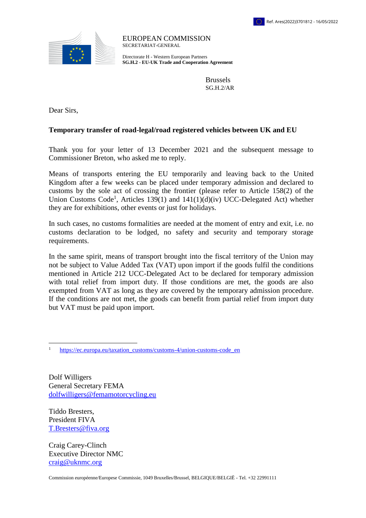

EUROPEAN COMMISSION SECRETARIAT-GENERAL

Directorate H - Western European Partners **SG.H.2 - EU-UK Trade and Cooperation Agreement**

> Brussels SG.H.2/AR

Dear Sirs,

## **Temporary transfer of road-legal/road registered vehicles between UK and EU**

Thank you for your letter of 13 December 2021 and the subsequent message to Commissioner Breton, who asked me to reply.

Means of transports entering the EU temporarily and leaving back to the United Kingdom after a few weeks can be placed under temporary admission and declared to customs by the sole act of crossing the frontier (please refer to Article 158(2) of the Union Customs Code<sup>1</sup>, Articles 139(1) and  $141(1)(d)(iv)$  UCC-Delegated Act) whether they are for exhibitions, other events or just for holidays.

In such cases, no customs formalities are needed at the moment of entry and exit, i.e. no customs declaration to be lodged, no safety and security and temporary storage requirements.

In the same spirit, means of transport brought into the fiscal territory of the Union may not be subject to Value Added Tax (VAT) upon import if the goods fulfil the conditions mentioned in Article 212 UCC-Delegated Act to be declared for temporary admission with total relief from import duty. If those conditions are met, the goods are also exempted from VAT as long as they are covered by the temporary admission procedure. If the conditions are not met, the goods can benefit from partial relief from import duty but VAT must be paid upon import.

Dolf Willigers General Secretary FEMA [dolfwilligers@femamotorcycling.eu](mailto:dolfwilligers@femamotorcycling.eu)

Tiddo Bresters, President FIVA T.Bresters@fiva.org

 $\overline{a}$ 

Craig Carey-Clinch Executive Director NMC [craig@uknmc.org](mailto:craig@uknmc.org)

<sup>&</sup>lt;sup>1</sup> [https://ec.europa.eu/taxation\\_customs/customs-4/union-customs-code\\_en](https://ec.europa.eu/taxation_customs/customs-4/union-customs-code_en)